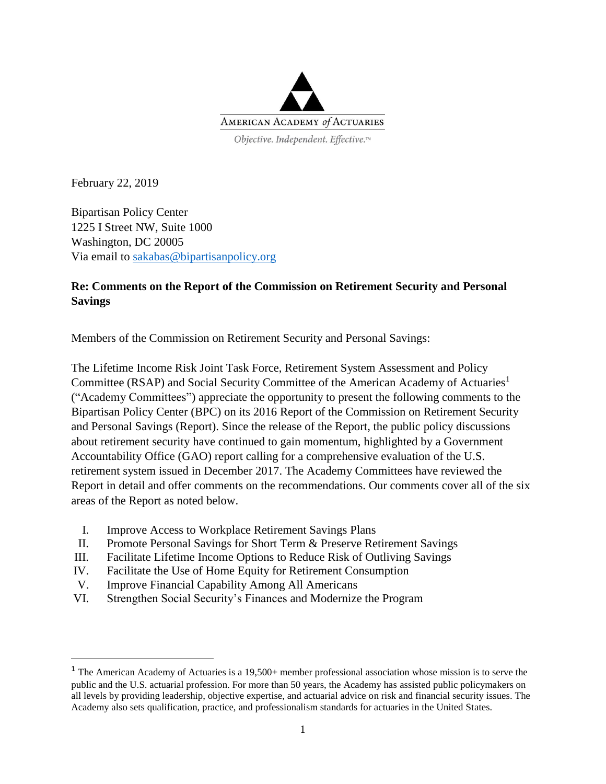

February 22, 2019

l

Bipartisan Policy Center 1225 I Street NW, Suite 1000 Washington, DC 20005 Via email to [sakabas@bipartisanpolicy.org](mailto:sakabas@bipartisanpolicy.org)

#### **Re: Comments on the Report of the Commission on Retirement Security and Personal Savings**

Members of the Commission on Retirement Security and Personal Savings:

The Lifetime Income Risk Joint Task Force, Retirement System Assessment and Policy Committee (RSAP) and Social Security Committee of the American Academy of Actuaries<sup>1</sup> ("Academy Committees") appreciate the opportunity to present the following comments to the Bipartisan Policy Center (BPC) on its 2016 Report of the Commission on Retirement Security and Personal Savings (Report). Since the release of the Report, the public policy discussions about retirement security have continued to gain momentum, highlighted by a Government Accountability Office (GAO) report calling for a comprehensive evaluation of the U.S. retirement system issued in December 2017. The Academy Committees have reviewed the Report in detail and offer comments on the recommendations. Our comments cover all of the six areas of the Report as noted below.

- I. Improve Access to Workplace Retirement Savings Plans
- II. Promote Personal Savings for Short Term & Preserve Retirement Savings
- III. Facilitate Lifetime Income Options to Reduce Risk of Outliving Savings
- IV. Facilitate the Use of Home Equity for Retirement Consumption
- V. Improve Financial Capability Among All Americans
- VI. Strengthen Social Security's Finances and Modernize the Program

<sup>1</sup> The American Academy of Actuaries is a 19,500+ member professional association whose mission is to serve the public and the U.S. actuarial profession. For more than 50 years, the Academy has assisted public policymakers on all levels by providing leadership, objective expertise, and actuarial advice on risk and financial security issues. The Academy also sets qualification, practice, and professionalism standards for actuaries in the United States.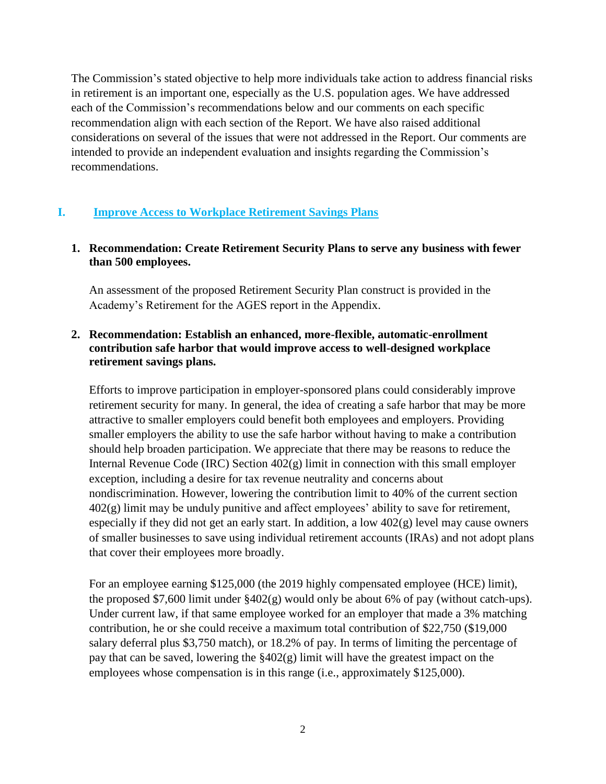The Commission's stated objective to help more individuals take action to address financial risks in retirement is an important one, especially as the U.S. population ages. We have addressed each of the Commission's recommendations below and our comments on each specific recommendation align with each section of the Report. We have also raised additional considerations on several of the issues that were not addressed in the Report. Our comments are intended to provide an independent evaluation and insights regarding the Commission's recommendations.

#### **I. Improve Access to Workplace Retirement Savings Plans**

#### **1. Recommendation: Create Retirement Security Plans to serve any business with fewer than 500 employees.**

An assessment of the proposed Retirement Security Plan construct is provided in the Academy's Retirement for the AGES report in the Appendix.

#### **2. Recommendation: Establish an enhanced, more-flexible, automatic-enrollment contribution safe harbor that would improve access to well-designed workplace retirement savings plans.**

Efforts to improve participation in employer-sponsored plans could considerably improve retirement security for many. In general, the idea of creating a safe harbor that may be more attractive to smaller employers could benefit both employees and employers. Providing smaller employers the ability to use the safe harbor without having to make a contribution should help broaden participation. We appreciate that there may be reasons to reduce the Internal Revenue Code (IRC) Section 402(g) limit in connection with this small employer exception, including a desire for tax revenue neutrality and concerns about nondiscrimination. However, lowering the contribution limit to 40% of the current section  $402(g)$  limit may be unduly punitive and affect employees' ability to save for retirement, especially if they did not get an early start. In addition, a low 402(g) level may cause owners of smaller businesses to save using individual retirement accounts (IRAs) and not adopt plans that cover their employees more broadly.

For an employee earning \$125,000 (the 2019 highly compensated employee (HCE) limit), the proposed \$7,600 limit under §402(g) would only be about 6% of pay (without catch-ups). Under current law, if that same employee worked for an employer that made a 3% matching contribution, he or she could receive a maximum total contribution of \$22,750 (\$19,000 salary deferral plus \$3,750 match), or 18.2% of pay. In terms of limiting the percentage of pay that can be saved, lowering the §402(g) limit will have the greatest impact on the employees whose compensation is in this range (i.e., approximately \$125,000).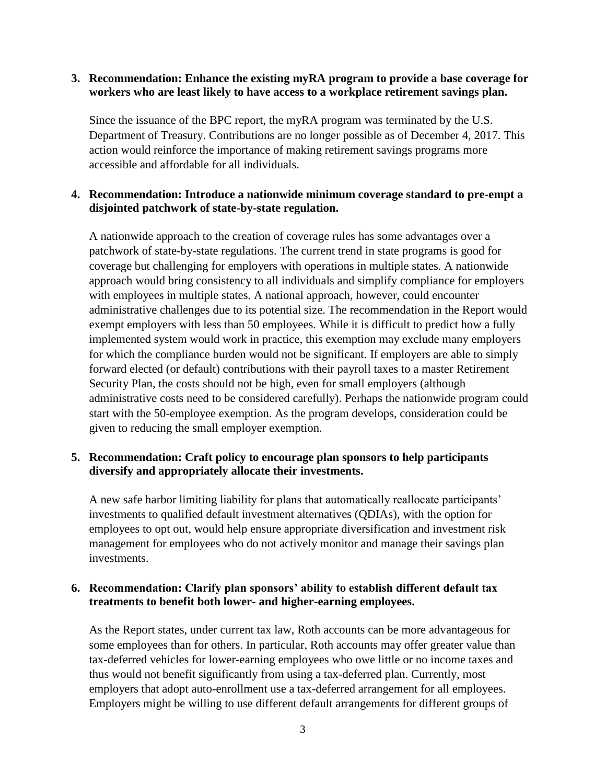#### **3. Recommendation: Enhance the existing myRA program to provide a base coverage for workers who are least likely to have access to a workplace retirement savings plan.**

Since the issuance of the BPC report, the myRA program was terminated by the U.S. Department of Treasury. Contributions are no longer possible as of December 4, 2017. This action would reinforce the importance of making retirement savings programs more accessible and affordable for all individuals.

#### **4. Recommendation: Introduce a nationwide minimum coverage standard to pre-empt a disjointed patchwork of state-by-state regulation.**

A nationwide approach to the creation of coverage rules has some advantages over a patchwork of state-by-state regulations. The current trend in state programs is good for coverage but challenging for employers with operations in multiple states. A nationwide approach would bring consistency to all individuals and simplify compliance for employers with employees in multiple states. A national approach, however, could encounter administrative challenges due to its potential size. The recommendation in the Report would exempt employers with less than 50 employees. While it is difficult to predict how a fully implemented system would work in practice, this exemption may exclude many employers for which the compliance burden would not be significant. If employers are able to simply forward elected (or default) contributions with their payroll taxes to a master Retirement Security Plan, the costs should not be high, even for small employers (although administrative costs need to be considered carefully). Perhaps the nationwide program could start with the 50-employee exemption. As the program develops, consideration could be given to reducing the small employer exemption.

#### **5. Recommendation: Craft policy to encourage plan sponsors to help participants diversify and appropriately allocate their investments.**

A new safe harbor limiting liability for plans that automatically reallocate participants' investments to qualified default investment alternatives (QDIAs), with the option for employees to opt out, would help ensure appropriate diversification and investment risk management for employees who do not actively monitor and manage their savings plan investments.

#### **6. Recommendation: Clarify plan sponsors' ability to establish different default tax treatments to benefit both lower- and higher-earning employees.**

As the Report states, under current tax law, Roth accounts can be more advantageous for some employees than for others. In particular, Roth accounts may offer greater value than tax-deferred vehicles for lower-earning employees who owe little or no income taxes and thus would not benefit significantly from using a tax-deferred plan. Currently, most employers that adopt auto-enrollment use a tax-deferred arrangement for all employees. Employers might be willing to use different default arrangements for different groups of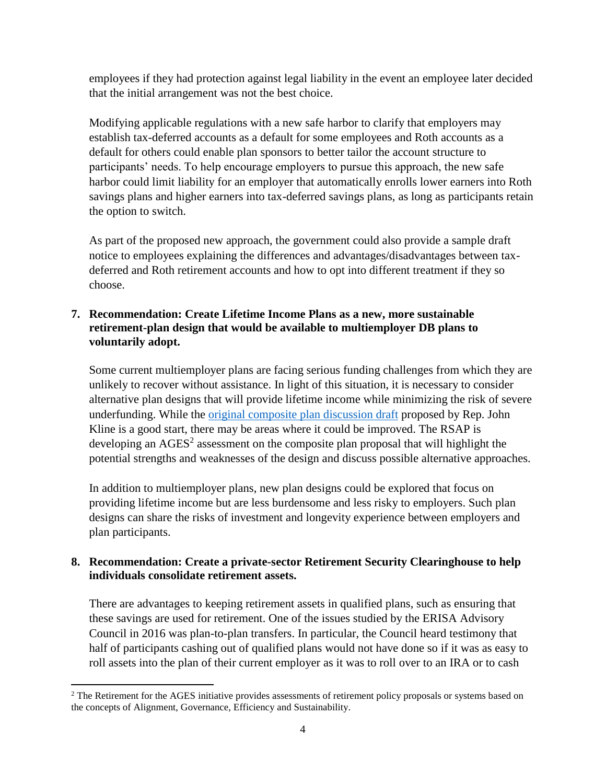employees if they had protection against legal liability in the event an employee later decided that the initial arrangement was not the best choice.

Modifying applicable regulations with a new safe harbor to clarify that employers may establish tax-deferred accounts as a default for some employees and Roth accounts as a default for others could enable plan sponsors to better tailor the account structure to participants' needs. To help encourage employers to pursue this approach, the new safe harbor could limit liability for an employer that automatically enrolls lower earners into Roth savings plans and higher earners into tax-deferred savings plans, as long as participants retain the option to switch.

As part of the proposed new approach, the government could also provide a sample draft notice to employees explaining the differences and advantages/disadvantages between taxdeferred and Roth retirement accounts and how to opt into different treatment if they so choose.

#### **7. Recommendation: Create Lifetime Income Plans as a new, more sustainable retirement-plan design that would be available to multiemployer DB plans to voluntarily adopt.**

Some current multiemployer plans are facing serious funding challenges from which they are unlikely to recover without assistance. In light of this situation, it is necessary to consider alternative plan designs that will provide lifetime income while minimizing the risk of severe underfunding. While the original [composite plan discussion draft](https://edworkforce.house.gov/uploadedfiles/composite_a_xml.pdf) proposed by Rep. John Kline is a good start, there may be areas where it could be improved. The RSAP is developing an  $AGES<sup>2</sup>$  assessment on the composite plan proposal that will highlight the potential strengths and weaknesses of the design and discuss possible alternative approaches.

In addition to multiemployer plans, new plan designs could be explored that focus on providing lifetime income but are less burdensome and less risky to employers. Such plan designs can share the risks of investment and longevity experience between employers and plan participants.

#### **8. Recommendation: Create a private-sector Retirement Security Clearinghouse to help individuals consolidate retirement assets.**

There are advantages to keeping retirement assets in qualified plans, such as ensuring that these savings are used for retirement. One of the issues studied by the ERISA Advisory Council in 2016 was plan-to-plan transfers. In particular, the Council heard testimony that half of participants cashing out of qualified plans would not have done so if it was as easy to roll assets into the plan of their current employer as it was to roll over to an IRA or to cash

 $\overline{a}$ 

<sup>&</sup>lt;sup>2</sup> The Retirement for the AGES initiative provides assessments of retirement policy proposals or systems based on the concepts of Alignment, Governance, Efficiency and Sustainability.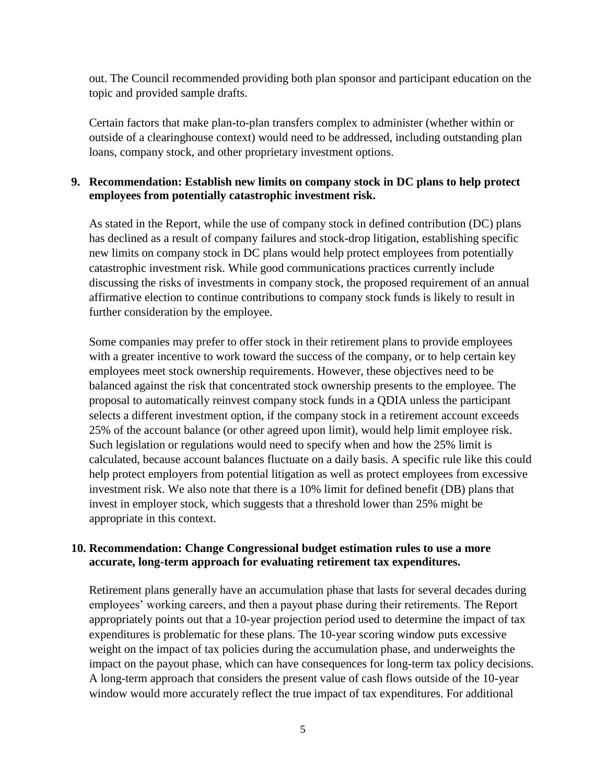out. The Council recommended providing both plan sponsor and participant education on the topic and provided sample drafts.

Certain factors that make plan-to-plan transfers complex to administer (whether within or outside of a clearinghouse context) would need to be addressed, including outstanding plan loans, company stock, and other proprietary investment options.

#### **9. Recommendation: Establish new limits on company stock in DC plans to help protect employees from potentially catastrophic investment risk.**

As stated in the Report, while the use of company stock in defined contribution (DC) plans has declined as a result of company failures and stock-drop litigation, establishing specific new limits on company stock in DC plans would help protect employees from potentially catastrophic investment risk. While good communications practices currently include discussing the risks of investments in company stock, the proposed requirement of an annual affirmative election to continue contributions to company stock funds is likely to result in further consideration by the employee.

Some companies may prefer to offer stock in their retirement plans to provide employees with a greater incentive to work toward the success of the company, or to help certain key employees meet stock ownership requirements. However, these objectives need to be balanced against the risk that concentrated stock ownership presents to the employee. The proposal to automatically reinvest company stock funds in a QDIA unless the participant selects a different investment option, if the company stock in a retirement account exceeds 25% of the account balance (or other agreed upon limit), would help limit employee risk. Such legislation or regulations would need to specify when and how the 25% limit is calculated, because account balances fluctuate on a daily basis. A specific rule like this could help protect employers from potential litigation as well as protect employees from excessive investment risk. We also note that there is a 10% limit for defined benefit (DB) plans that invest in employer stock, which suggests that a threshold lower than 25% might be appropriate in this context.

#### **10. Recommendation: Change Congressional budget estimation rules to use a more accurate, long-term approach for evaluating retirement tax expenditures.**

Retirement plans generally have an accumulation phase that lasts for several decades during employees' working careers, and then a payout phase during their retirements. The Report appropriately points out that a 10-year projection period used to determine the impact of tax expenditures is problematic for these plans. The 10-year scoring window puts excessive weight on the impact of tax policies during the accumulation phase, and underweights the impact on the payout phase, which can have consequences for long-term tax policy decisions. A long-term approach that considers the present value of cash flows outside of the 10-year window would more accurately reflect the true impact of tax expenditures. For additional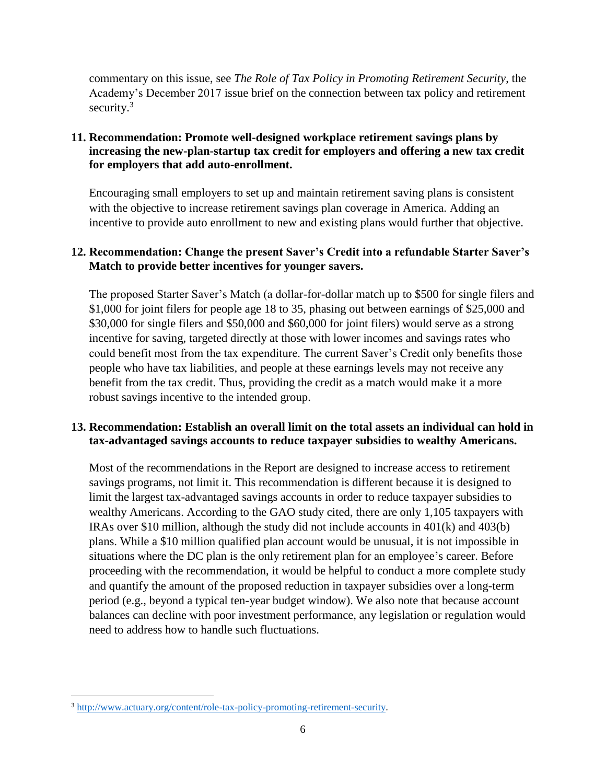commentary on this issue, see *The Role of Tax Policy in Promoting Retirement Security*, the Academy's December 2017 issue brief on the connection between tax policy and retirement security. $3$ 

#### **11. Recommendation: Promote well-designed workplace retirement savings plans by increasing the new-plan-startup tax credit for employers and offering a new tax credit for employers that add auto-enrollment.**

Encouraging small employers to set up and maintain retirement saving plans is consistent with the objective to increase retirement savings plan coverage in America. Adding an incentive to provide auto enrollment to new and existing plans would further that objective.

#### **12. Recommendation: Change the present Saver's Credit into a refundable Starter Saver's Match to provide better incentives for younger savers.**

The proposed Starter Saver's Match (a dollar-for-dollar match up to \$500 for single filers and \$1,000 for joint filers for people age 18 to 35, phasing out between earnings of \$25,000 and \$30,000 for single filers and \$50,000 and \$60,000 for joint filers) would serve as a strong incentive for saving, targeted directly at those with lower incomes and savings rates who could benefit most from the tax expenditure. The current Saver's Credit only benefits those people who have tax liabilities, and people at these earnings levels may not receive any benefit from the tax credit. Thus, providing the credit as a match would make it a more robust savings incentive to the intended group.

#### **13. Recommendation: Establish an overall limit on the total assets an individual can hold in tax-advantaged savings accounts to reduce taxpayer subsidies to wealthy Americans.**

Most of the recommendations in the Report are designed to increase access to retirement savings programs, not limit it. This recommendation is different because it is designed to limit the largest tax-advantaged savings accounts in order to reduce taxpayer subsidies to wealthy Americans. According to the GAO study cited, there are only 1,105 taxpayers with IRAs over \$10 million, although the study did not include accounts in  $401(k)$  and  $403(b)$ plans. While a \$10 million qualified plan account would be unusual, it is not impossible in situations where the DC plan is the only retirement plan for an employee's career. Before proceeding with the recommendation, it would be helpful to conduct a more complete study and quantify the amount of the proposed reduction in taxpayer subsidies over a long-term period (e.g., beyond a typical ten-year budget window). We also note that because account balances can decline with poor investment performance, any legislation or regulation would need to address how to handle such fluctuations.

 $\overline{\phantom{a}}$ 

<sup>3</sup> [http://www.actuary.org/content/role-tax-policy-promoting-retirement-security.](http://www.actuary.org/content/role-tax-policy-promoting-retirement-security)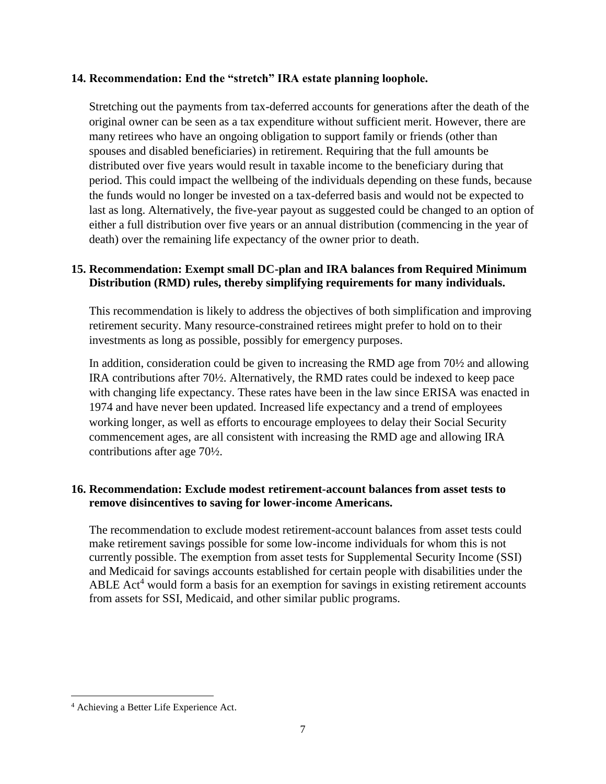#### **14. Recommendation: End the "stretch" IRA estate planning loophole.**

Stretching out the payments from tax-deferred accounts for generations after the death of the original owner can be seen as a tax expenditure without sufficient merit. However, there are many retirees who have an ongoing obligation to support family or friends (other than spouses and disabled beneficiaries) in retirement. Requiring that the full amounts be distributed over five years would result in taxable income to the beneficiary during that period. This could impact the wellbeing of the individuals depending on these funds, because the funds would no longer be invested on a tax-deferred basis and would not be expected to last as long. Alternatively, the five-year payout as suggested could be changed to an option of either a full distribution over five years or an annual distribution (commencing in the year of death) over the remaining life expectancy of the owner prior to death.

#### **15. Recommendation: Exempt small DC-plan and IRA balances from Required Minimum Distribution (RMD) rules, thereby simplifying requirements for many individuals.**

This recommendation is likely to address the objectives of both simplification and improving retirement security. Many resource-constrained retirees might prefer to hold on to their investments as long as possible, possibly for emergency purposes.

In addition, consideration could be given to increasing the RMD age from 70½ and allowing IRA contributions after 70½. Alternatively, the RMD rates could be indexed to keep pace with changing life expectancy. These rates have been in the law since ERISA was enacted in 1974 and have never been updated. Increased life expectancy and a trend of employees working longer, as well as efforts to encourage employees to delay their Social Security commencement ages, are all consistent with increasing the RMD age and allowing IRA contributions after age 70½.

#### **16. Recommendation: Exclude modest retirement-account balances from asset tests to remove disincentives to saving for lower-income Americans.**

The recommendation to exclude modest retirement-account balances from asset tests could make retirement savings possible for some low-income individuals for whom this is not currently possible. The exemption from asset tests for Supplemental Security Income (SSI) and Medicaid for savings accounts established for certain people with disabilities under the ABLE Act<sup>4</sup> would form a basis for an exemption for savings in existing retirement accounts from assets for SSI, Medicaid, and other similar public programs.

 $\overline{\phantom{a}}$ 

<sup>4</sup> Achieving a Better Life Experience Act.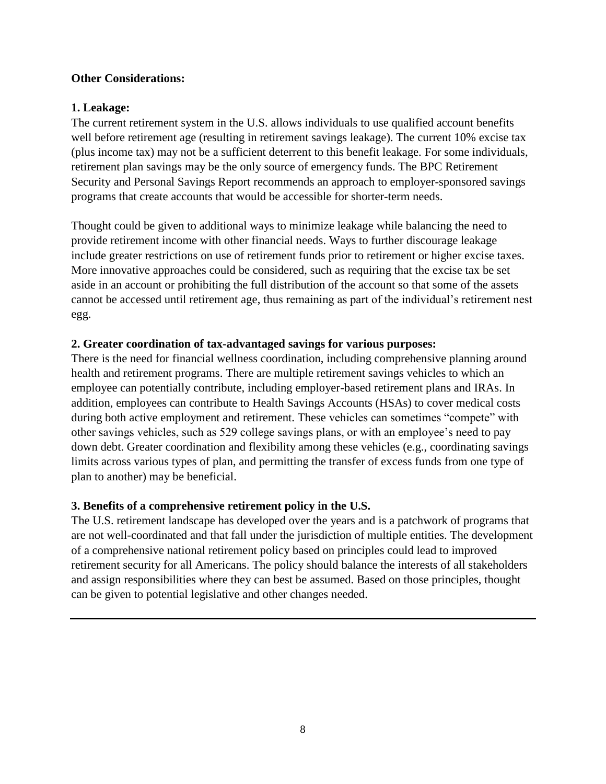#### **Other Considerations:**

#### **1. Leakage:**

The current retirement system in the U.S. allows individuals to use qualified account benefits well before retirement age (resulting in retirement savings leakage). The current 10% excise tax (plus income tax) may not be a sufficient deterrent to this benefit leakage. For some individuals, retirement plan savings may be the only source of emergency funds. The BPC Retirement Security and Personal Savings Report recommends an approach to employer-sponsored savings programs that create accounts that would be accessible for shorter-term needs.

Thought could be given to additional ways to minimize leakage while balancing the need to provide retirement income with other financial needs. Ways to further discourage leakage include greater restrictions on use of retirement funds prior to retirement or higher excise taxes. More innovative approaches could be considered, such as requiring that the excise tax be set aside in an account or prohibiting the full distribution of the account so that some of the assets cannot be accessed until retirement age, thus remaining as part of the individual's retirement nest egg.

#### **2. Greater coordination of tax-advantaged savings for various purposes:**

There is the need for financial wellness coordination, including comprehensive planning around health and retirement programs. There are multiple retirement savings vehicles to which an employee can potentially contribute, including employer-based retirement plans and IRAs. In addition, employees can contribute to Health Savings Accounts (HSAs) to cover medical costs during both active employment and retirement. These vehicles can sometimes "compete" with other savings vehicles, such as 529 college savings plans, or with an employee's need to pay down debt. Greater coordination and flexibility among these vehicles (e.g., coordinating savings limits across various types of plan, and permitting the transfer of excess funds from one type of plan to another) may be beneficial.

#### **3. Benefits of a comprehensive retirement policy in the U.S.**

The U.S. retirement landscape has developed over the years and is a patchwork of programs that are not well-coordinated and that fall under the jurisdiction of multiple entities. The development of a comprehensive national retirement policy based on principles could lead to improved retirement security for all Americans. The policy should balance the interests of all stakeholders and assign responsibilities where they can best be assumed. Based on those principles, thought can be given to potential legislative and other changes needed.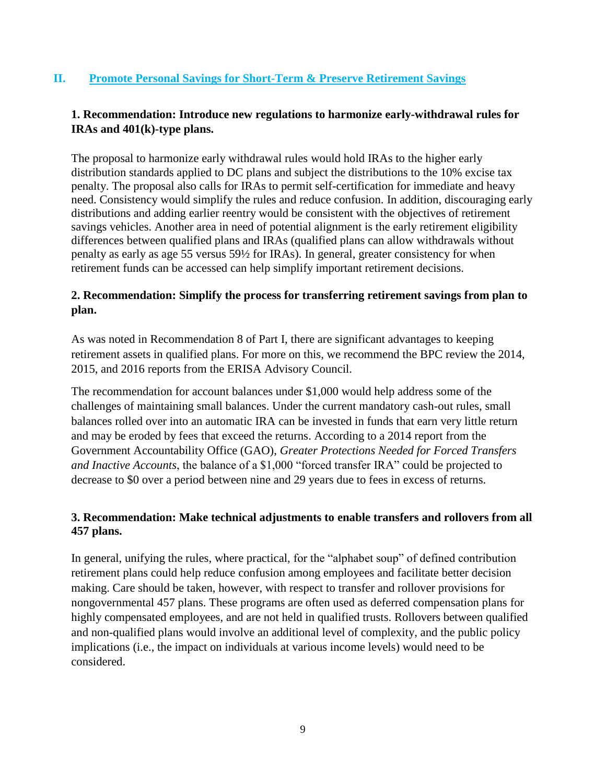#### **II. Promote Personal Savings for Short-Term & Preserve Retirement Savings**

#### **1. Recommendation: Introduce new regulations to harmonize early-withdrawal rules for IRAs and 401(k)-type plans.**

The proposal to harmonize early withdrawal rules would hold IRAs to the higher early distribution standards applied to DC plans and subject the distributions to the 10% excise tax penalty. The proposal also calls for IRAs to permit self-certification for immediate and heavy need. Consistency would simplify the rules and reduce confusion. In addition, discouraging early distributions and adding earlier reentry would be consistent with the objectives of retirement savings vehicles. Another area in need of potential alignment is the early retirement eligibility differences between qualified plans and IRAs (qualified plans can allow withdrawals without penalty as early as age 55 versus 59½ for IRAs). In general, greater consistency for when retirement funds can be accessed can help simplify important retirement decisions.

#### **2. Recommendation: Simplify the process for transferring retirement savings from plan to plan.**

As was noted in Recommendation 8 of Part I, there are significant advantages to keeping retirement assets in qualified plans. For more on this, we recommend the BPC review the 2014, 2015, and 2016 reports from the ERISA Advisory Council.

The recommendation for account balances under \$1,000 would help address some of the challenges of maintaining small balances. Under the current mandatory cash-out rules, small balances rolled over into an automatic IRA can be invested in funds that earn very little return and may be eroded by fees that exceed the returns. According to a 2014 report from the Government Accountability Office (GAO), *Greater Protections Needed for Forced Transfers and Inactive Accounts*, the balance of a \$1,000 "forced transfer IRA" could be projected to decrease to \$0 over a period between nine and 29 years due to fees in excess of returns.

#### **3. Recommendation: Make technical adjustments to enable transfers and rollovers from all 457 plans.**

In general, unifying the rules, where practical, for the "alphabet soup" of defined contribution retirement plans could help reduce confusion among employees and facilitate better decision making. Care should be taken, however, with respect to transfer and rollover provisions for nongovernmental 457 plans. These programs are often used as deferred compensation plans for highly compensated employees, and are not held in qualified trusts. Rollovers between qualified and non-qualified plans would involve an additional level of complexity, and the public policy implications (i.e., the impact on individuals at various income levels) would need to be considered.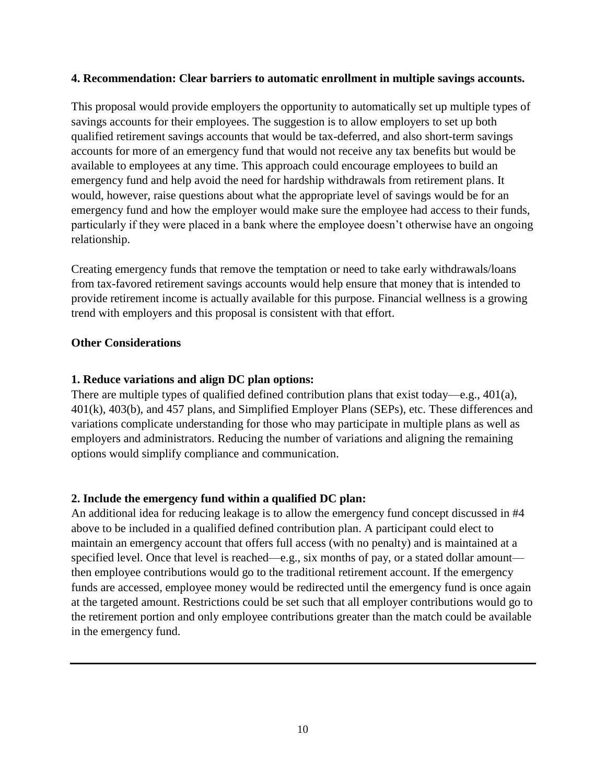#### **4. Recommendation: Clear barriers to automatic enrollment in multiple savings accounts.**

This proposal would provide employers the opportunity to automatically set up multiple types of savings accounts for their employees. The suggestion is to allow employers to set up both qualified retirement savings accounts that would be tax-deferred, and also short-term savings accounts for more of an emergency fund that would not receive any tax benefits but would be available to employees at any time. This approach could encourage employees to build an emergency fund and help avoid the need for hardship withdrawals from retirement plans. It would, however, raise questions about what the appropriate level of savings would be for an emergency fund and how the employer would make sure the employee had access to their funds, particularly if they were placed in a bank where the employee doesn't otherwise have an ongoing relationship.

Creating emergency funds that remove the temptation or need to take early withdrawals/loans from tax-favored retirement savings accounts would help ensure that money that is intended to provide retirement income is actually available for this purpose. Financial wellness is a growing trend with employers and this proposal is consistent with that effort.

#### **Other Considerations**

#### **1. Reduce variations and align DC plan options:**

There are multiple types of qualified defined contribution plans that exist today—e.g., 401(a), 401(k), 403(b), and 457 plans, and Simplified Employer Plans (SEPs), etc. These differences and variations complicate understanding for those who may participate in multiple plans as well as employers and administrators. Reducing the number of variations and aligning the remaining options would simplify compliance and communication.

#### **2. Include the emergency fund within a qualified DC plan:**

An additional idea for reducing leakage is to allow the emergency fund concept discussed in #4 above to be included in a qualified defined contribution plan. A participant could elect to maintain an emergency account that offers full access (with no penalty) and is maintained at a specified level. Once that level is reached—e.g., six months of pay, or a stated dollar amount then employee contributions would go to the traditional retirement account. If the emergency funds are accessed, employee money would be redirected until the emergency fund is once again at the targeted amount. Restrictions could be set such that all employer contributions would go to the retirement portion and only employee contributions greater than the match could be available in the emergency fund.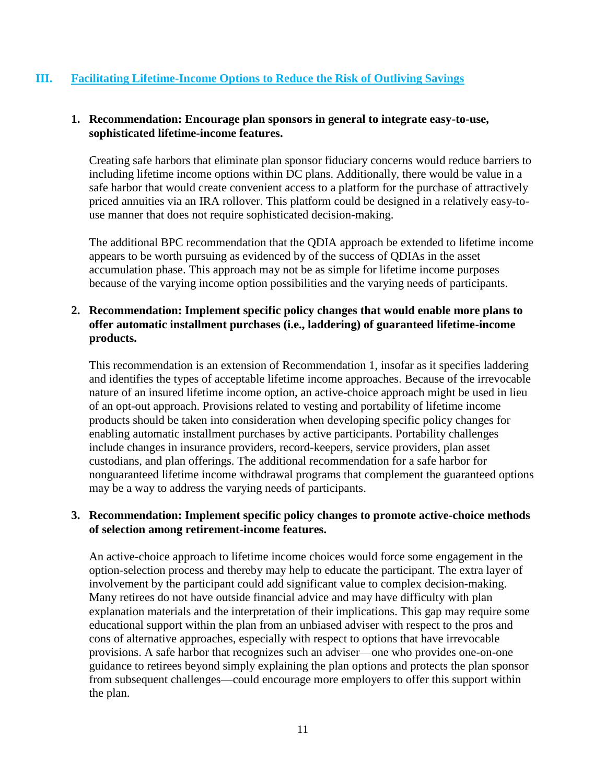#### **III. Facilitating Lifetime-Income Options to Reduce the Risk of Outliving Savings**

#### **1. Recommendation: Encourage plan sponsors in general to integrate easy-to-use, sophisticated lifetime-income features.**

Creating safe harbors that eliminate plan sponsor fiduciary concerns would reduce barriers to including lifetime income options within DC plans. Additionally, there would be value in a safe harbor that would create convenient access to a platform for the purchase of attractively priced annuities via an IRA rollover. This platform could be designed in a relatively easy-touse manner that does not require sophisticated decision-making.

The additional BPC recommendation that the QDIA approach be extended to lifetime income appears to be worth pursuing as evidenced by of the success of QDIAs in the asset accumulation phase. This approach may not be as simple for lifetime income purposes because of the varying income option possibilities and the varying needs of participants.

#### **2. Recommendation: Implement specific policy changes that would enable more plans to offer automatic installment purchases (i.e., laddering) of guaranteed lifetime-income products.**

This recommendation is an extension of Recommendation 1, insofar as it specifies laddering and identifies the types of acceptable lifetime income approaches. Because of the irrevocable nature of an insured lifetime income option, an active-choice approach might be used in lieu of an opt-out approach. Provisions related to vesting and portability of lifetime income products should be taken into consideration when developing specific policy changes for enabling automatic installment purchases by active participants. Portability challenges include changes in insurance providers, record-keepers, service providers, plan asset custodians, and plan offerings. The additional recommendation for a safe harbor for nonguaranteed lifetime income withdrawal programs that complement the guaranteed options may be a way to address the varying needs of participants.

#### **3. Recommendation: Implement specific policy changes to promote active-choice methods of selection among retirement-income features.**

An active-choice approach to lifetime income choices would force some engagement in the option-selection process and thereby may help to educate the participant. The extra layer of involvement by the participant could add significant value to complex decision-making. Many retirees do not have outside financial advice and may have difficulty with plan explanation materials and the interpretation of their implications. This gap may require some educational support within the plan from an unbiased adviser with respect to the pros and cons of alternative approaches, especially with respect to options that have irrevocable provisions. A safe harbor that recognizes such an adviser—one who provides one-on-one guidance to retirees beyond simply explaining the plan options and protects the plan sponsor from subsequent challenges—could encourage more employers to offer this support within the plan.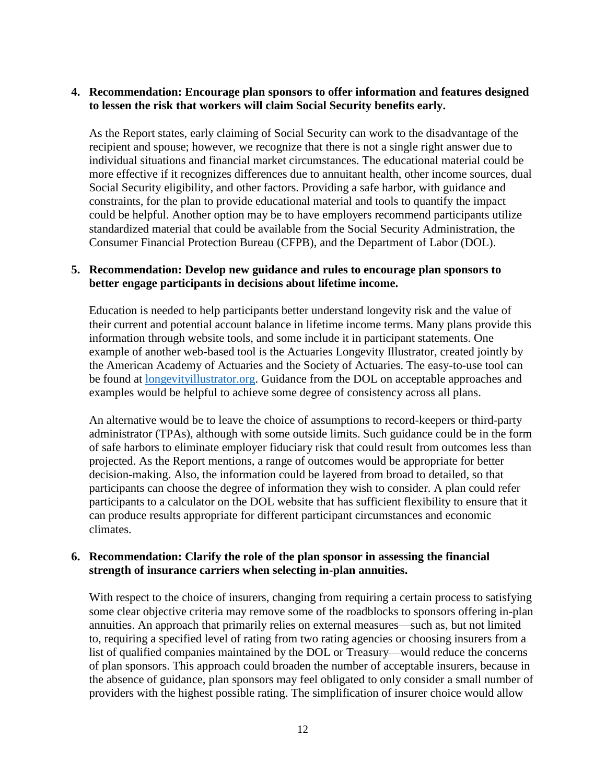#### **4. Recommendation: Encourage plan sponsors to offer information and features designed to lessen the risk that workers will claim Social Security benefits early.**

As the Report states, early claiming of Social Security can work to the disadvantage of the recipient and spouse; however, we recognize that there is not a single right answer due to individual situations and financial market circumstances. The educational material could be more effective if it recognizes differences due to annuitant health, other income sources, dual Social Security eligibility, and other factors. Providing a safe harbor, with guidance and constraints, for the plan to provide educational material and tools to quantify the impact could be helpful. Another option may be to have employers recommend participants utilize standardized material that could be available from the Social Security Administration, the Consumer Financial Protection Bureau (CFPB), and the Department of Labor (DOL).

#### **5. Recommendation: Develop new guidance and rules to encourage plan sponsors to better engage participants in decisions about lifetime income.**

Education is needed to help participants better understand longevity risk and the value of their current and potential account balance in lifetime income terms. Many plans provide this information through website tools, and some include it in participant statements. One example of another web-based tool is the Actuaries Longevity Illustrator, created jointly by the American Academy of Actuaries and the Society of Actuaries. The easy-to-use tool can be found at [longevityillustrator.org.](http://longevityillustrator.org/) Guidance from the DOL on acceptable approaches and examples would be helpful to achieve some degree of consistency across all plans.

An alternative would be to leave the choice of assumptions to record-keepers or third-party administrator (TPAs), although with some outside limits. Such guidance could be in the form of safe harbors to eliminate employer fiduciary risk that could result from outcomes less than projected. As the Report mentions, a range of outcomes would be appropriate for better decision-making. Also, the information could be layered from broad to detailed, so that participants can choose the degree of information they wish to consider. A plan could refer participants to a calculator on the DOL website that has sufficient flexibility to ensure that it can produce results appropriate for different participant circumstances and economic climates.

#### **6. Recommendation: Clarify the role of the plan sponsor in assessing the financial strength of insurance carriers when selecting in-plan annuities.**

With respect to the choice of insurers, changing from requiring a certain process to satisfying some clear objective criteria may remove some of the roadblocks to sponsors offering in-plan annuities. An approach that primarily relies on external measures—such as, but not limited to, requiring a specified level of rating from two rating agencies or choosing insurers from a list of qualified companies maintained by the DOL or Treasury—would reduce the concerns of plan sponsors. This approach could broaden the number of acceptable insurers, because in the absence of guidance, plan sponsors may feel obligated to only consider a small number of providers with the highest possible rating. The simplification of insurer choice would allow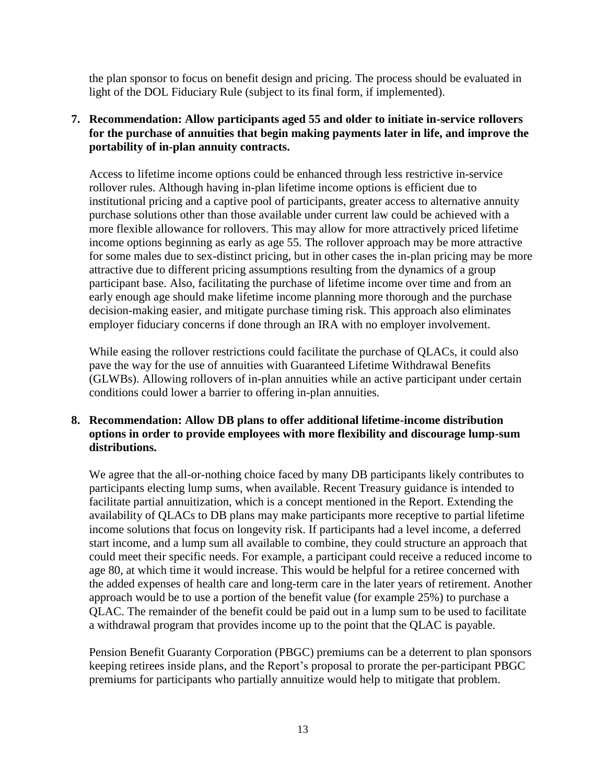the plan sponsor to focus on benefit design and pricing. The process should be evaluated in light of the DOL Fiduciary Rule (subject to its final form, if implemented).

#### **7. Recommendation: Allow participants aged 55 and older to initiate in-service rollovers for the purchase of annuities that begin making payments later in life, and improve the portability of in-plan annuity contracts.**

Access to lifetime income options could be enhanced through less restrictive in-service rollover rules. Although having in-plan lifetime income options is efficient due to institutional pricing and a captive pool of participants, greater access to alternative annuity purchase solutions other than those available under current law could be achieved with a more flexible allowance for rollovers. This may allow for more attractively priced lifetime income options beginning as early as age 55. The rollover approach may be more attractive for some males due to sex-distinct pricing, but in other cases the in-plan pricing may be more attractive due to different pricing assumptions resulting from the dynamics of a group participant base. Also, facilitating the purchase of lifetime income over time and from an early enough age should make lifetime income planning more thorough and the purchase decision-making easier, and mitigate purchase timing risk. This approach also eliminates employer fiduciary concerns if done through an IRA with no employer involvement.

While easing the rollover restrictions could facilitate the purchase of QLACs, it could also pave the way for the use of annuities with Guaranteed Lifetime Withdrawal Benefits (GLWBs). Allowing rollovers of in-plan annuities while an active participant under certain conditions could lower a barrier to offering in-plan annuities.

#### **8. Recommendation: Allow DB plans to offer additional lifetime-income distribution options in order to provide employees with more flexibility and discourage lump-sum distributions.**

We agree that the all-or-nothing choice faced by many DB participants likely contributes to participants electing lump sums, when available. Recent Treasury guidance is intended to facilitate partial annuitization, which is a concept mentioned in the Report. Extending the availability of QLACs to DB plans may make participants more receptive to partial lifetime income solutions that focus on longevity risk. If participants had a level income, a deferred start income, and a lump sum all available to combine, they could structure an approach that could meet their specific needs. For example, a participant could receive a reduced income to age 80, at which time it would increase. This would be helpful for a retiree concerned with the added expenses of health care and long-term care in the later years of retirement. Another approach would be to use a portion of the benefit value (for example 25%) to purchase a QLAC. The remainder of the benefit could be paid out in a lump sum to be used to facilitate a withdrawal program that provides income up to the point that the QLAC is payable.

Pension Benefit Guaranty Corporation (PBGC) premiums can be a deterrent to plan sponsors keeping retirees inside plans, and the Report's proposal to prorate the per-participant PBGC premiums for participants who partially annuitize would help to mitigate that problem.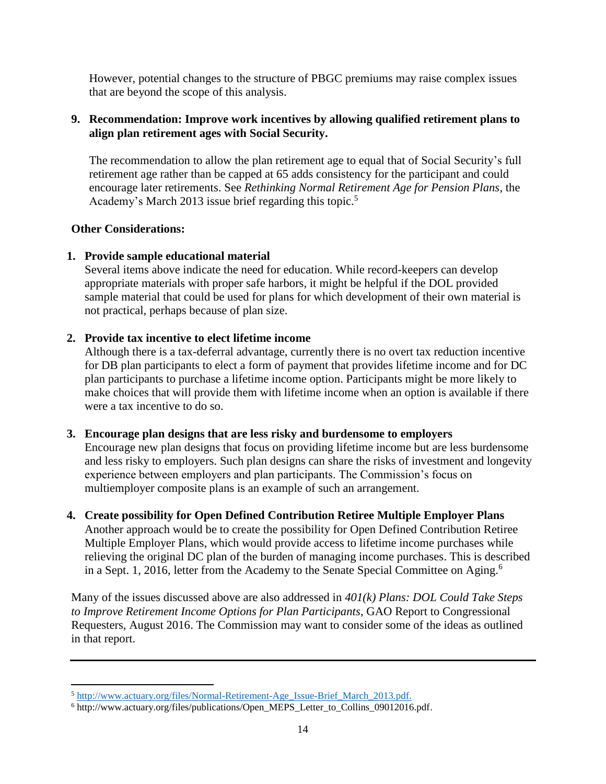However, potential changes to the structure of PBGC premiums may raise complex issues that are beyond the scope of this analysis.

#### **9. Recommendation: Improve work incentives by allowing qualified retirement plans to align plan retirement ages with Social Security.**

The recommendation to allow the plan retirement age to equal that of Social Security's full retirement age rather than be capped at 65 adds consistency for the participant and could encourage later retirements. See *Rethinking Normal Retirement Age for Pension Plans*, the Academy's March 2013 issue brief regarding this topic.<sup>5</sup>

#### **Other Considerations:**

 $\overline{a}$ 

#### **1. Provide sample educational material**

Several items above indicate the need for education. While record-keepers can develop appropriate materials with proper safe harbors, it might be helpful if the DOL provided sample material that could be used for plans for which development of their own material is not practical, perhaps because of plan size.

#### **2. Provide tax incentive to elect lifetime income**

Although there is a tax-deferral advantage, currently there is no overt tax reduction incentive for DB plan participants to elect a form of payment that provides lifetime income and for DC plan participants to purchase a lifetime income option. Participants might be more likely to make choices that will provide them with lifetime income when an option is available if there were a tax incentive to do so.

#### **3. Encourage plan designs that are less risky and burdensome to employers**

Encourage new plan designs that focus on providing lifetime income but are less burdensome and less risky to employers. Such plan designs can share the risks of investment and longevity experience between employers and plan participants. The Commission's focus on multiemployer composite plans is an example of such an arrangement.

#### **4. Create possibility for Open Defined Contribution Retiree Multiple Employer Plans**

Another approach would be to create the possibility for Open Defined Contribution Retiree Multiple Employer Plans, which would provide access to lifetime income purchases while relieving the original DC plan of the burden of managing income purchases. This is described in a Sept. 1, 2016, letter from the Academy to the Senate Special Committee on Aging.<sup>6</sup>

Many of the issues discussed above are also addressed in *401(k) Plans: DOL Could Take Steps to Improve Retirement Income Options for Plan Participants*, GAO Report to Congressional Requesters, August 2016. The Commission may want to consider some of the ideas as outlined in that report.

<sup>&</sup>lt;sup>5</sup> [http://www.actuary.org/files/Normal-Retirement-Age\\_Issue-Brief\\_March\\_2013.pdf.](http://www.actuary.org/files/Normal-Retirement-Age_Issue-Brief_March_2013.pdf)

<sup>6</sup> http://www.actuary.org/files/publications/Open\_MEPS\_Letter\_to\_Collins\_09012016.pdf.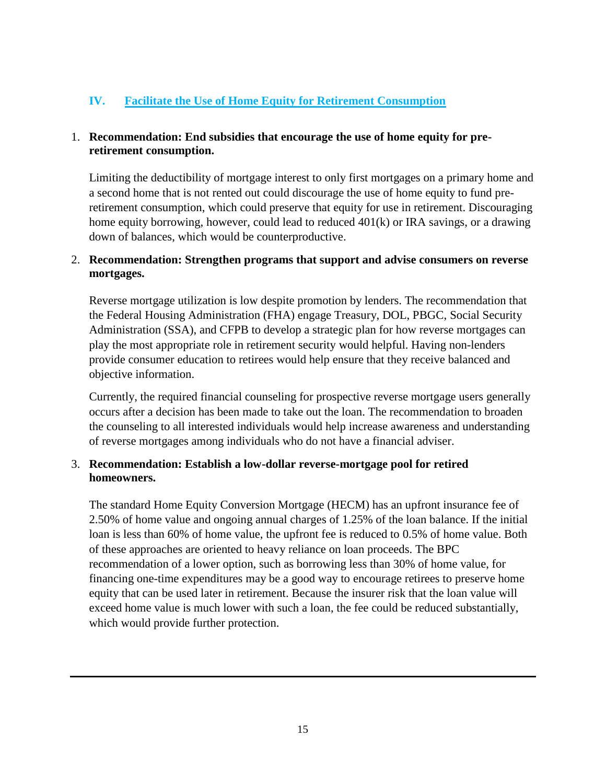#### **IV. Facilitate the Use of Home Equity for Retirement Consumption**

#### 1. **Recommendation: End subsidies that encourage the use of home equity for preretirement consumption.**

Limiting the deductibility of mortgage interest to only first mortgages on a primary home and a second home that is not rented out could discourage the use of home equity to fund preretirement consumption, which could preserve that equity for use in retirement. Discouraging home equity borrowing, however, could lead to reduced 401(k) or IRA savings, or a drawing down of balances, which would be counterproductive.

#### 2. **Recommendation: Strengthen programs that support and advise consumers on reverse mortgages.**

Reverse mortgage utilization is low despite promotion by lenders. The recommendation that the Federal Housing Administration (FHA) engage Treasury, DOL, PBGC, Social Security Administration (SSA), and CFPB to develop a strategic plan for how reverse mortgages can play the most appropriate role in retirement security would helpful. Having non-lenders provide consumer education to retirees would help ensure that they receive balanced and objective information.

Currently, the required financial counseling for prospective reverse mortgage users generally occurs after a decision has been made to take out the loan. The recommendation to broaden the counseling to all interested individuals would help increase awareness and understanding of reverse mortgages among individuals who do not have a financial adviser.

#### 3. **Recommendation: Establish a low-dollar reverse-mortgage pool for retired homeowners.**

The standard Home Equity Conversion Mortgage (HECM) has an upfront insurance fee of 2.50% of home value and ongoing annual charges of 1.25% of the loan balance. If the initial loan is less than 60% of home value, the upfront fee is reduced to 0.5% of home value. Both of these approaches are oriented to heavy reliance on loan proceeds. The BPC recommendation of a lower option, such as borrowing less than 30% of home value, for financing one-time expenditures may be a good way to encourage retirees to preserve home equity that can be used later in retirement. Because the insurer risk that the loan value will exceed home value is much lower with such a loan, the fee could be reduced substantially, which would provide further protection.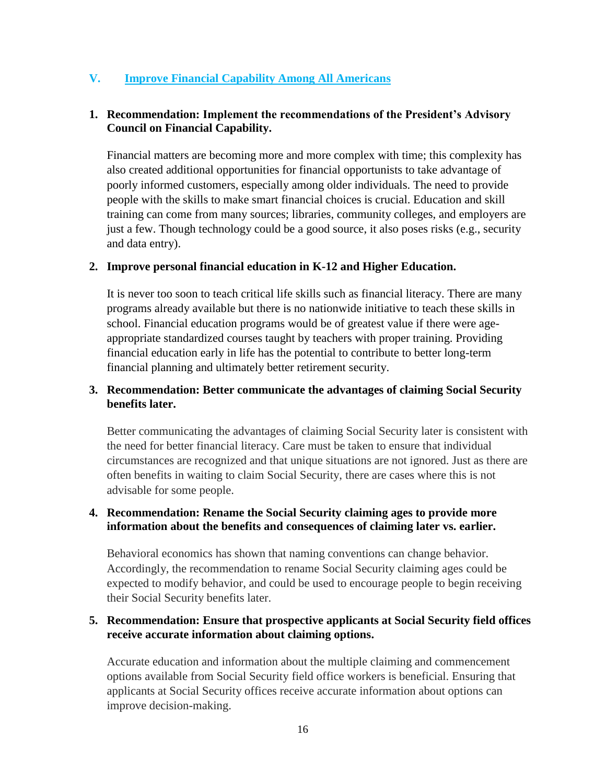#### **V. Improve Financial Capability Among All Americans**

#### **1. Recommendation: Implement the recommendations of the President's Advisory Council on Financial Capability.**

Financial matters are becoming more and more complex with time; this complexity has also created additional opportunities for financial opportunists to take advantage of poorly informed customers, especially among older individuals. The need to provide people with the skills to make smart financial choices is crucial. Education and skill training can come from many sources; libraries, community colleges, and employers are just a few. Though technology could be a good source, it also poses risks (e.g., security and data entry).

#### **2. Improve personal financial education in K-12 and Higher Education.**

It is never too soon to teach critical life skills such as financial literacy. There are many programs already available but there is no nationwide initiative to teach these skills in school. Financial education programs would be of greatest value if there were ageappropriate standardized courses taught by teachers with proper training. Providing financial education early in life has the potential to contribute to better long-term financial planning and ultimately better retirement security.

#### **3. Recommendation: Better communicate the advantages of claiming Social Security benefits later.**

Better communicating the advantages of claiming Social Security later is consistent with the need for better financial literacy. Care must be taken to ensure that individual circumstances are recognized and that unique situations are not ignored. Just as there are often benefits in waiting to claim Social Security, there are cases where this is not advisable for some people.

#### **4. Recommendation: Rename the Social Security claiming ages to provide more information about the benefits and consequences of claiming later vs. earlier.**

Behavioral economics has shown that naming conventions can change behavior. Accordingly, the recommendation to rename Social Security claiming ages could be expected to modify behavior, and could be used to encourage people to begin receiving their Social Security benefits later.

#### **5. Recommendation: Ensure that prospective applicants at Social Security field offices receive accurate information about claiming options.**

Accurate education and information about the multiple claiming and commencement options available from Social Security field office workers is beneficial. Ensuring that applicants at Social Security offices receive accurate information about options can improve decision-making.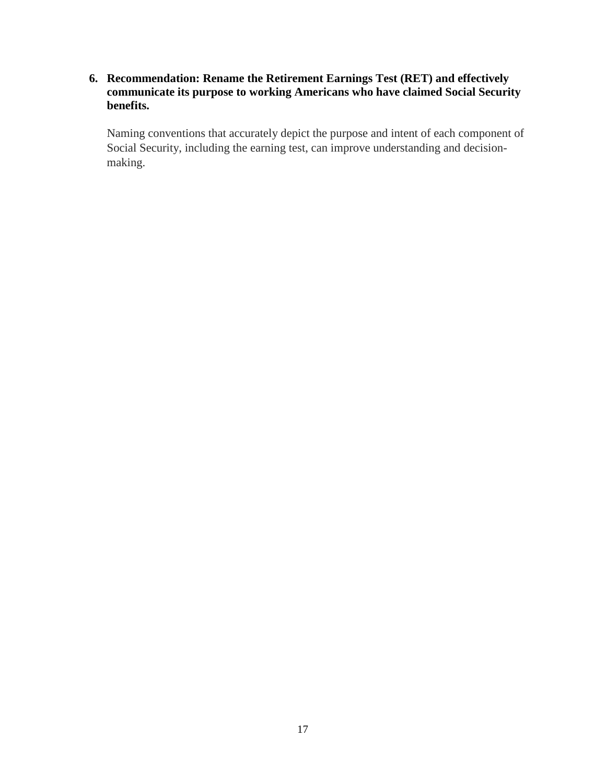**6. Recommendation: Rename the Retirement Earnings Test (RET) and effectively communicate its purpose to working Americans who have claimed Social Security benefits.**

Naming conventions that accurately depict the purpose and intent of each component of Social Security, including the earning test, can improve understanding and decisionmaking.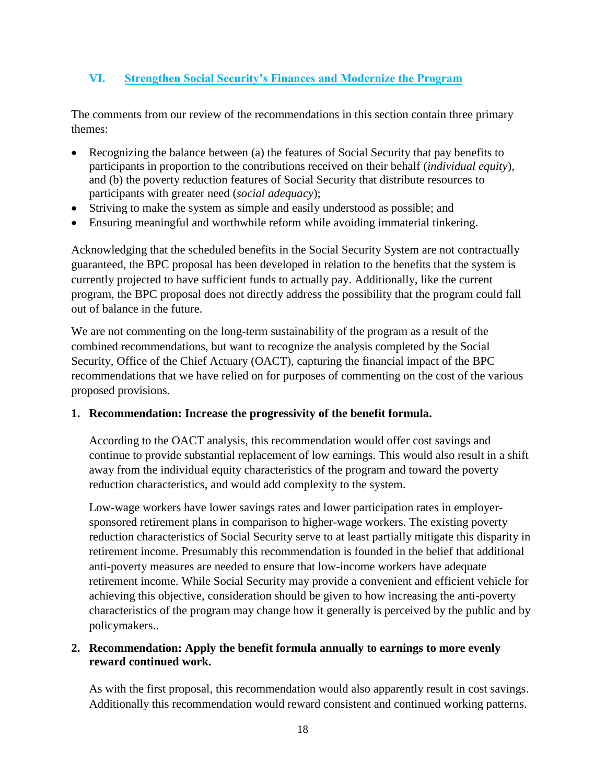#### **VI. Strengthen Social Security's Finances and Modernize the Program**

The comments from our review of the recommendations in this section contain three primary themes:

- Recognizing the balance between (a) the features of Social Security that pay benefits to participants in proportion to the contributions received on their behalf (*individual equity*), and (b) the poverty reduction features of Social Security that distribute resources to participants with greater need (*social adequacy*);
- Striving to make the system as simple and easily understood as possible; and
- Ensuring meaningful and worthwhile reform while avoiding immaterial tinkering.

Acknowledging that the scheduled benefits in the Social Security System are not contractually guaranteed, the BPC proposal has been developed in relation to the benefits that the system is currently projected to have sufficient funds to actually pay. Additionally, like the current program, the BPC proposal does not directly address the possibility that the program could fall out of balance in the future.

We are not commenting on the long-term sustainability of the program as a result of the combined recommendations, but want to recognize the analysis completed by the Social Security, Office of the Chief Actuary (OACT), capturing the financial impact of the BPC recommendations that we have relied on for purposes of commenting on the cost of the various proposed provisions.

#### **1. Recommendation: Increase the progressivity of the benefit formula.**

According to the OACT analysis, this recommendation would offer cost savings and continue to provide substantial replacement of low earnings. This would also result in a shift away from the individual equity characteristics of the program and toward the poverty reduction characteristics, and would add complexity to the system.

Low-wage workers have lower savings rates and lower participation rates in employersponsored retirement plans in comparison to higher-wage workers. The existing poverty reduction characteristics of Social Security serve to at least partially mitigate this disparity in retirement income. Presumably this recommendation is founded in the belief that additional anti-poverty measures are needed to ensure that low-income workers have adequate retirement income. While Social Security may provide a convenient and efficient vehicle for achieving this objective, consideration should be given to how increasing the anti-poverty characteristics of the program may change how it generally is perceived by the public and by policymakers..

#### **2. Recommendation: Apply the benefit formula annually to earnings to more evenly reward continued work.**

As with the first proposal, this recommendation would also apparently result in cost savings. Additionally this recommendation would reward consistent and continued working patterns.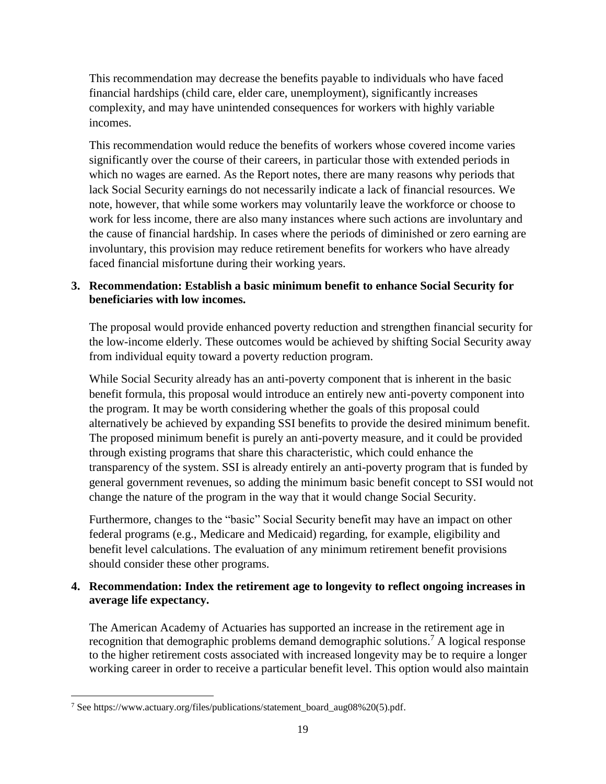This recommendation may decrease the benefits payable to individuals who have faced financial hardships (child care, elder care, unemployment), significantly increases complexity, and may have unintended consequences for workers with highly variable incomes.

This recommendation would reduce the benefits of workers whose covered income varies significantly over the course of their careers, in particular those with extended periods in which no wages are earned. As the Report notes, there are many reasons why periods that lack Social Security earnings do not necessarily indicate a lack of financial resources. We note, however, that while some workers may voluntarily leave the workforce or choose to work for less income, there are also many instances where such actions are involuntary and the cause of financial hardship. In cases where the periods of diminished or zero earning are involuntary, this provision may reduce retirement benefits for workers who have already faced financial misfortune during their working years.

#### **3. Recommendation: Establish a basic minimum benefit to enhance Social Security for beneficiaries with low incomes.**

The proposal would provide enhanced poverty reduction and strengthen financial security for the low-income elderly. These outcomes would be achieved by shifting Social Security away from individual equity toward a poverty reduction program.

While Social Security already has an anti-poverty component that is inherent in the basic benefit formula, this proposal would introduce an entirely new anti-poverty component into the program. It may be worth considering whether the goals of this proposal could alternatively be achieved by expanding SSI benefits to provide the desired minimum benefit. The proposed minimum benefit is purely an anti-poverty measure, and it could be provided through existing programs that share this characteristic, which could enhance the transparency of the system. SSI is already entirely an anti-poverty program that is funded by general government revenues, so adding the minimum basic benefit concept to SSI would not change the nature of the program in the way that it would change Social Security.

Furthermore, changes to the "basic" Social Security benefit may have an impact on other federal programs (e.g., Medicare and Medicaid) regarding, for example, eligibility and benefit level calculations. The evaluation of any minimum retirement benefit provisions should consider these other programs.

#### **4. Recommendation: Index the retirement age to longevity to reflect ongoing increases in average life expectancy.**

The American Academy of Actuaries has supported an increase in the retirement age in recognition that demographic problems demand demographic solutions.<sup>7</sup> A logical response to the higher retirement costs associated with increased longevity may be to require a longer working career in order to receive a particular benefit level. This option would also maintain

 $\overline{\phantom{a}}$ 

<sup>7</sup> See https://www.actuary.org/files/publications/statement\_board\_aug08%20(5).pdf.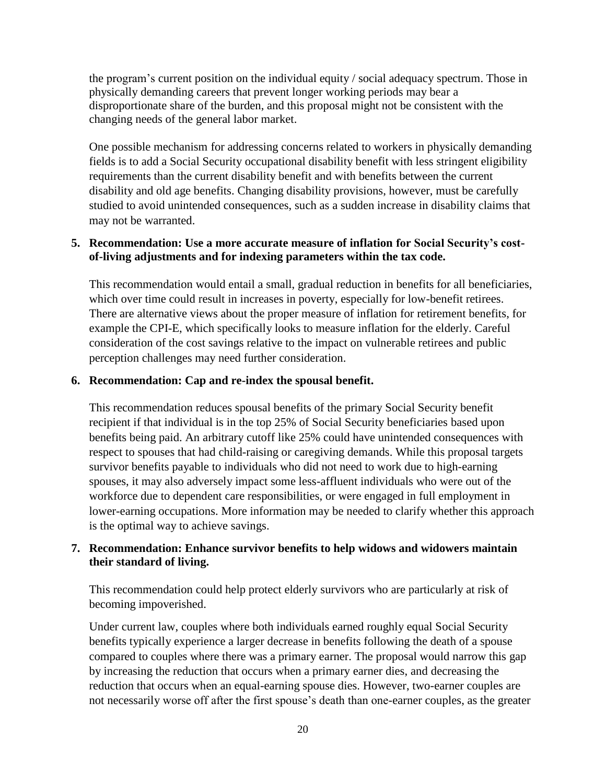the program's current position on the individual equity / social adequacy spectrum. Those in physically demanding careers that prevent longer working periods may bear a disproportionate share of the burden, and this proposal might not be consistent with the changing needs of the general labor market.

One possible mechanism for addressing concerns related to workers in physically demanding fields is to add a Social Security occupational disability benefit with less stringent eligibility requirements than the current disability benefit and with benefits between the current disability and old age benefits. Changing disability provisions, however, must be carefully studied to avoid unintended consequences, such as a sudden increase in disability claims that may not be warranted.

#### **5. Recommendation: Use a more accurate measure of inflation for Social Security's costof-living adjustments and for indexing parameters within the tax code.**

This recommendation would entail a small, gradual reduction in benefits for all beneficiaries, which over time could result in increases in poverty, especially for low-benefit retirees. There are alternative views about the proper measure of inflation for retirement benefits, for example the CPI-E, which specifically looks to measure inflation for the elderly. Careful consideration of the cost savings relative to the impact on vulnerable retirees and public perception challenges may need further consideration.

#### **6. Recommendation: Cap and re-index the spousal benefit.**

This recommendation reduces spousal benefits of the primary Social Security benefit recipient if that individual is in the top 25% of Social Security beneficiaries based upon benefits being paid. An arbitrary cutoff like 25% could have unintended consequences with respect to spouses that had child-raising or caregiving demands. While this proposal targets survivor benefits payable to individuals who did not need to work due to high-earning spouses, it may also adversely impact some less-affluent individuals who were out of the workforce due to dependent care responsibilities, or were engaged in full employment in lower-earning occupations. More information may be needed to clarify whether this approach is the optimal way to achieve savings.

#### **7. Recommendation: Enhance survivor benefits to help widows and widowers maintain their standard of living.**

This recommendation could help protect elderly survivors who are particularly at risk of becoming impoverished.

Under current law, couples where both individuals earned roughly equal Social Security benefits typically experience a larger decrease in benefits following the death of a spouse compared to couples where there was a primary earner. The proposal would narrow this gap by increasing the reduction that occurs when a primary earner dies, and decreasing the reduction that occurs when an equal-earning spouse dies. However, two-earner couples are not necessarily worse off after the first spouse's death than one-earner couples, as the greater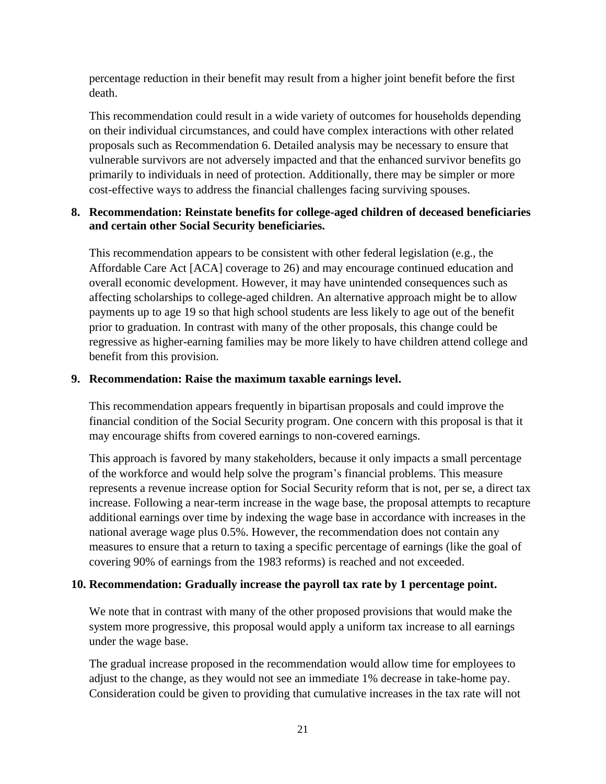percentage reduction in their benefit may result from a higher joint benefit before the first death.

This recommendation could result in a wide variety of outcomes for households depending on their individual circumstances, and could have complex interactions with other related proposals such as Recommendation 6. Detailed analysis may be necessary to ensure that vulnerable survivors are not adversely impacted and that the enhanced survivor benefits go primarily to individuals in need of protection. Additionally, there may be simpler or more cost-effective ways to address the financial challenges facing surviving spouses.

#### **8. Recommendation: Reinstate benefits for college-aged children of deceased beneficiaries and certain other Social Security beneficiaries.**

This recommendation appears to be consistent with other federal legislation (e.g., the Affordable Care Act [ACA] coverage to 26) and may encourage continued education and overall economic development. However, it may have unintended consequences such as affecting scholarships to college-aged children. An alternative approach might be to allow payments up to age 19 so that high school students are less likely to age out of the benefit prior to graduation. In contrast with many of the other proposals, this change could be regressive as higher-earning families may be more likely to have children attend college and benefit from this provision.

#### **9. Recommendation: Raise the maximum taxable earnings level.**

This recommendation appears frequently in bipartisan proposals and could improve the financial condition of the Social Security program. One concern with this proposal is that it may encourage shifts from covered earnings to non-covered earnings.

This approach is favored by many stakeholders, because it only impacts a small percentage of the workforce and would help solve the program's financial problems. This measure represents a revenue increase option for Social Security reform that is not, per se, a direct tax increase. Following a near-term increase in the wage base, the proposal attempts to recapture additional earnings over time by indexing the wage base in accordance with increases in the national average wage plus 0.5%. However, the recommendation does not contain any measures to ensure that a return to taxing a specific percentage of earnings (like the goal of covering 90% of earnings from the 1983 reforms) is reached and not exceeded.

#### **10. Recommendation: Gradually increase the payroll tax rate by 1 percentage point.**

We note that in contrast with many of the other proposed provisions that would make the system more progressive, this proposal would apply a uniform tax increase to all earnings under the wage base.

The gradual increase proposed in the recommendation would allow time for employees to adjust to the change, as they would not see an immediate 1% decrease in take-home pay. Consideration could be given to providing that cumulative increases in the tax rate will not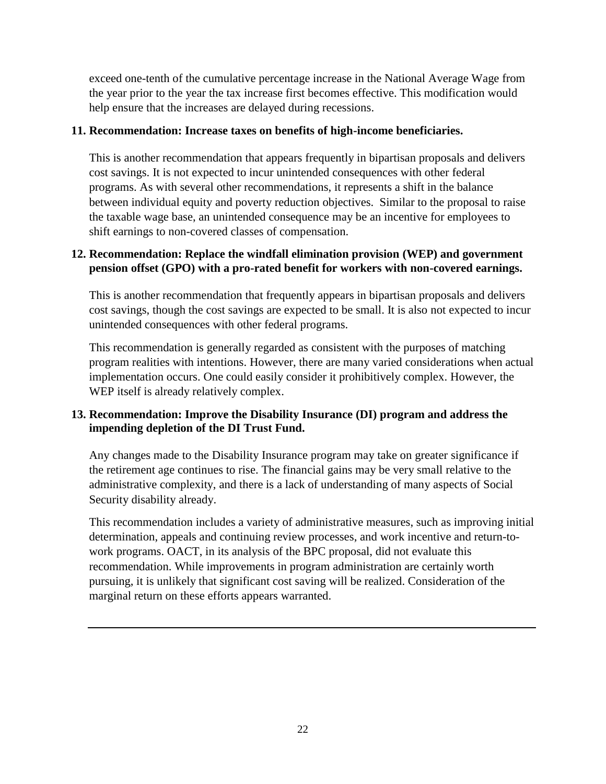exceed one-tenth of the cumulative percentage increase in the National Average Wage from the year prior to the year the tax increase first becomes effective. This modification would help ensure that the increases are delayed during recessions.

#### **11. Recommendation: Increase taxes on benefits of high-income beneficiaries.**

This is another recommendation that appears frequently in bipartisan proposals and delivers cost savings. It is not expected to incur unintended consequences with other federal programs. As with several other recommendations, it represents a shift in the balance between individual equity and poverty reduction objectives. Similar to the proposal to raise the taxable wage base, an unintended consequence may be an incentive for employees to shift earnings to non-covered classes of compensation.

#### **12. Recommendation: Replace the windfall elimination provision (WEP) and government pension offset (GPO) with a pro-rated benefit for workers with non-covered earnings.**

This is another recommendation that frequently appears in bipartisan proposals and delivers cost savings, though the cost savings are expected to be small. It is also not expected to incur unintended consequences with other federal programs.

This recommendation is generally regarded as consistent with the purposes of matching program realities with intentions. However, there are many varied considerations when actual implementation occurs. One could easily consider it prohibitively complex. However, the WEP itself is already relatively complex.

#### **13. Recommendation: Improve the Disability Insurance (DI) program and address the impending depletion of the DI Trust Fund.**

Any changes made to the Disability Insurance program may take on greater significance if the retirement age continues to rise. The financial gains may be very small relative to the administrative complexity, and there is a lack of understanding of many aspects of Social Security disability already.

This recommendation includes a variety of administrative measures, such as improving initial determination, appeals and continuing review processes, and work incentive and return-towork programs. OACT, in its analysis of the BPC proposal, did not evaluate this recommendation. While improvements in program administration are certainly worth pursuing, it is unlikely that significant cost saving will be realized. Consideration of the marginal return on these efforts appears warranted.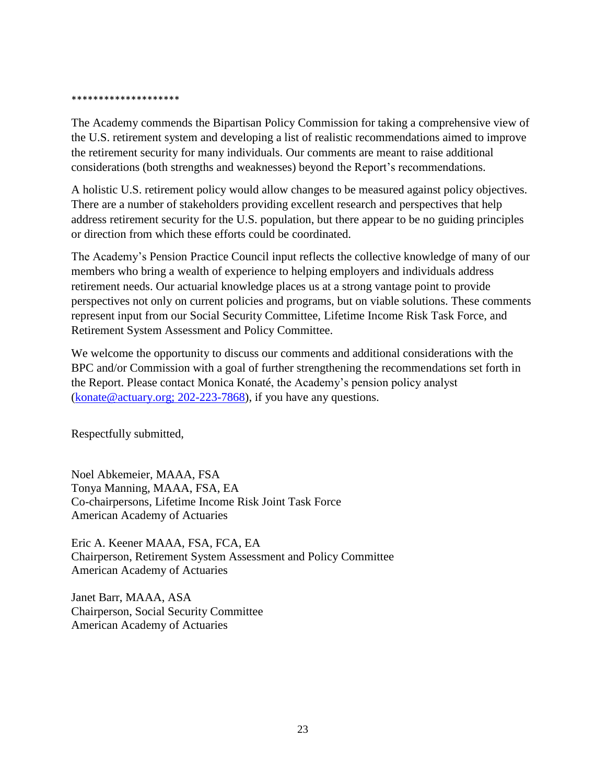#### \*\*\*\*\*\*\*\*\*\*\*\*\*\*\*\*\*\*\*

The Academy commends the Bipartisan Policy Commission for taking a comprehensive view of the U.S. retirement system and developing a list of realistic recommendations aimed to improve the retirement security for many individuals. Our comments are meant to raise additional considerations (both strengths and weaknesses) beyond the Report's recommendations.

A holistic U.S. retirement policy would allow changes to be measured against policy objectives. There are a number of stakeholders providing excellent research and perspectives that help address retirement security for the U.S. population, but there appear to be no guiding principles or direction from which these efforts could be coordinated.

The Academy's Pension Practice Council input reflects the collective knowledge of many of our members who bring a wealth of experience to helping employers and individuals address retirement needs. Our actuarial knowledge places us at a strong vantage point to provide perspectives not only on current policies and programs, but on viable solutions. These comments represent input from our Social Security Committee, Lifetime Income Risk Task Force, and Retirement System Assessment and Policy Committee.

We welcome the opportunity to discuss our comments and additional considerations with the BPC and/or Commission with a goal of further strengthening the recommendations set forth in the Report. Please contact Monica Konaté, the Academy's pension policy analyst [\(konate@actuary.org; 202-223-7](mailto:konate@actuary.org;%20202-223-)868), if you have any questions.

Respectfully submitted,

Noel Abkemeier, MAAA, FSA Tonya Manning, MAAA, FSA, EA Co-chairpersons, Lifetime Income Risk Joint Task Force American Academy of Actuaries

Eric A. Keener MAAA, FSA, FCA, EA Chairperson, Retirement System Assessment and Policy Committee American Academy of Actuaries

Janet Barr, MAAA, ASA Chairperson, Social Security Committee American Academy of Actuaries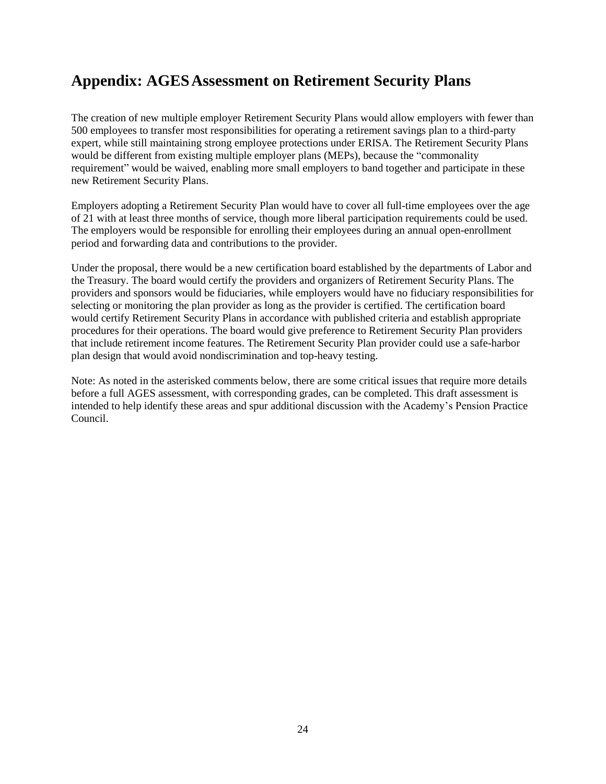# **Appendix: AGESAssessment on Retirement Security Plans**

The creation of new multiple employer Retirement Security Plans would allow employers with fewer than 500 employees to transfer most responsibilities for operating a retirement savings plan to a third-party expert, while still maintaining strong employee protections under ERISA. The Retirement Security Plans would be different from existing multiple employer plans (MEPs), because the "commonality requirement" would be waived, enabling more small employers to band together and participate in these new Retirement Security Plans.

Employers adopting a Retirement Security Plan would have to cover all full-time employees over the age of 21 with at least three months of service, though more liberal participation requirements could be used. The employers would be responsible for enrolling their employees during an annual open-enrollment period and forwarding data and contributions to the provider.

Under the proposal, there would be a new certification board established by the departments of Labor and the Treasury. The board would certify the providers and organizers of Retirement Security Plans. The providers and sponsors would be fiduciaries, while employers would have no fiduciary responsibilities for selecting or monitoring the plan provider as long as the provider is certified. The certification board would certify Retirement Security Plans in accordance with published criteria and establish appropriate procedures for their operations. The board would give preference to Retirement Security Plan providers that include retirement income features. The Retirement Security Plan provider could use a safe-harbor plan design that would avoid nondiscrimination and top-heavy testing.

Note: As noted in the asterisked comments below, there are some critical issues that require more details before a full AGES assessment, with corresponding grades, can be completed. This draft assessment is intended to help identify these areas and spur additional discussion with the Academy's Pension Practice Council.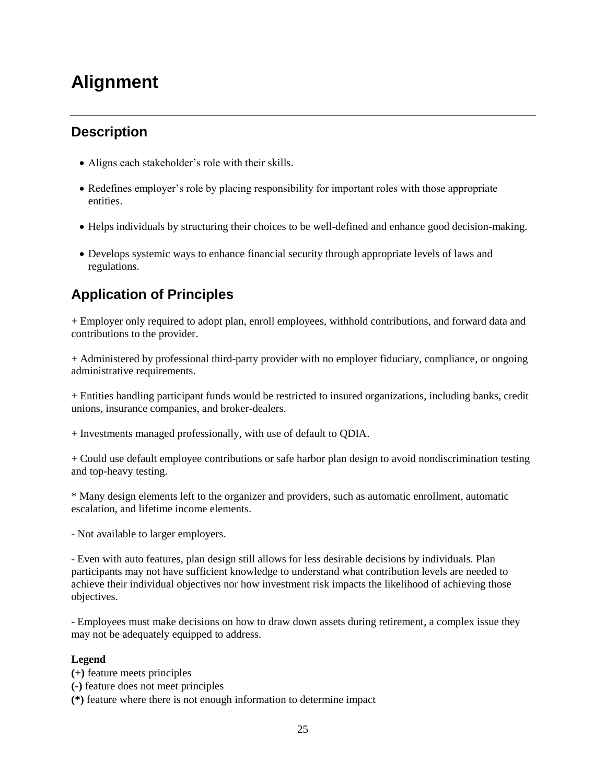# **Alignment**

### **Description**

- Aligns each stakeholder's role with their skills.
- Redefines employer's role by placing responsibility for important roles with those appropriate entities.
- Helps individuals by structuring their choices to be well-defined and enhance good decision-making.
- Develops systemic ways to enhance financial security through appropriate levels of laws and regulations.

## **Application of Principles**

+ Employer only required to adopt plan, enroll employees, withhold contributions, and forward data and contributions to the provider.

+ Administered by professional third-party provider with no employer fiduciary, compliance, or ongoing administrative requirements.

+ Entities handling participant funds would be restricted to insured organizations, including banks, credit unions, insurance companies, and broker-dealers.

+ Investments managed professionally, with use of default to QDIA.

+ Could use default employee contributions or safe harbor plan design to avoid nondiscrimination testing and top-heavy testing.

\* Many design elements left to the organizer and providers, such as automatic enrollment, automatic escalation, and lifetime income elements.

- Not available to larger employers.

- Even with auto features, plan design still allows for less desirable decisions by individuals. Plan participants may not have sufficient knowledge to understand what contribution levels are needed to achieve their individual objectives nor how investment risk impacts the likelihood of achieving those objectives.

- Employees must make decisions on how to draw down assets during retirement, a complex issue they may not be adequately equipped to address.

#### **Legend**

**(+)** feature meets principles

**(-)** feature does not meet principles

**(\*)** feature where there is not enough information to determine impact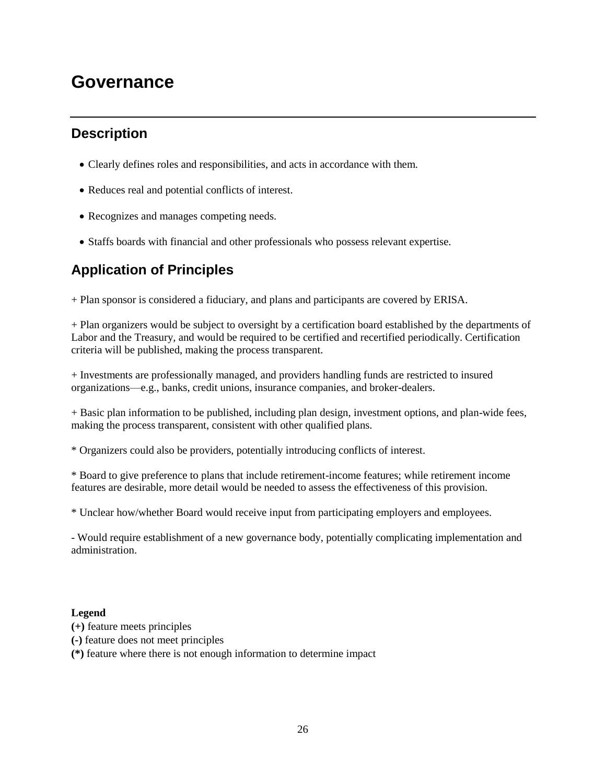# **Governance**

### **Description**

- Clearly defines roles and responsibilities, and acts in accordance with them.
- Reduces real and potential conflicts of interest.
- Recognizes and manages competing needs.
- Staffs boards with financial and other professionals who possess relevant expertise.

### **Application of Principles**

+ Plan sponsor is considered a fiduciary, and plans and participants are covered by ERISA.

+ Plan organizers would be subject to oversight by a certification board established by the departments of Labor and the Treasury, and would be required to be certified and recertified periodically. Certification criteria will be published, making the process transparent.

+ Investments are professionally managed, and providers handling funds are restricted to insured organizations—e.g., banks, credit unions, insurance companies, and broker-dealers.

+ Basic plan information to be published, including plan design, investment options, and plan-wide fees, making the process transparent, consistent with other qualified plans.

\* Organizers could also be providers, potentially introducing conflicts of interest.

\* Board to give preference to plans that include retirement-income features; while retirement income features are desirable, more detail would be needed to assess the effectiveness of this provision.

\* Unclear how/whether Board would receive input from participating employers and employees.

- Would require establishment of a new governance body, potentially complicating implementation and administration.

#### **Legend**

- **(+)** feature meets principles
- **(-)** feature does not meet principles

**(\*)** feature where there is not enough information to determine impact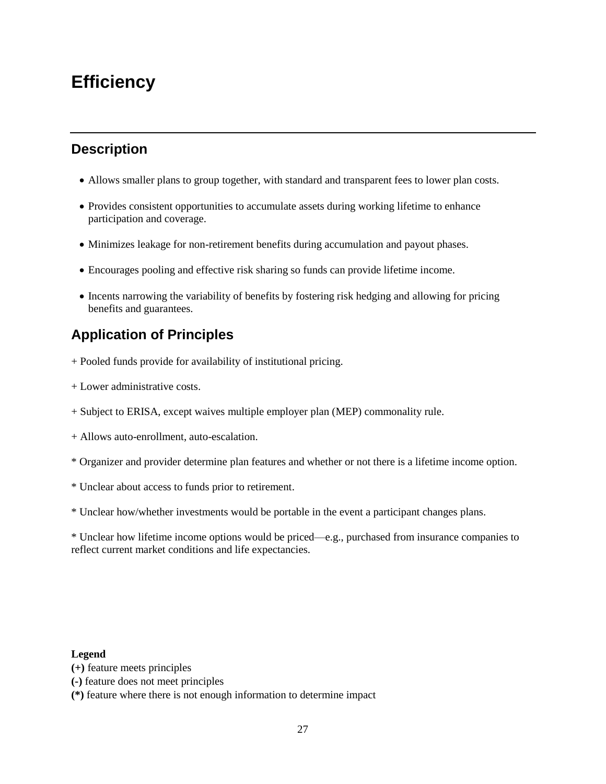# **Efficiency**

### **Description**

- Allows smaller plans to group together, with standard and transparent fees to lower plan costs.
- Provides consistent opportunities to accumulate assets during working lifetime to enhance participation and coverage.
- Minimizes leakage for non-retirement benefits during accumulation and payout phases.
- Encourages pooling and effective risk sharing so funds can provide lifetime income.
- Incents narrowing the variability of benefits by fostering risk hedging and allowing for pricing benefits and guarantees.

## **Application of Principles**

- + Pooled funds provide for availability of institutional pricing.
- + Lower administrative costs.
- + Subject to ERISA, except waives multiple employer plan (MEP) commonality rule.
- + Allows auto-enrollment, auto-escalation.
- \* Organizer and provider determine plan features and whether or not there is a lifetime income option.
- \* Unclear about access to funds prior to retirement.
- \* Unclear how/whether investments would be portable in the event a participant changes plans.

\* Unclear how lifetime income options would be priced—e.g., purchased from insurance companies to reflect current market conditions and life expectancies.

#### **Legend**

- **(+)** feature meets principles
- **(-)** feature does not meet principles
- **(\*)** feature where there is not enough information to determine impact